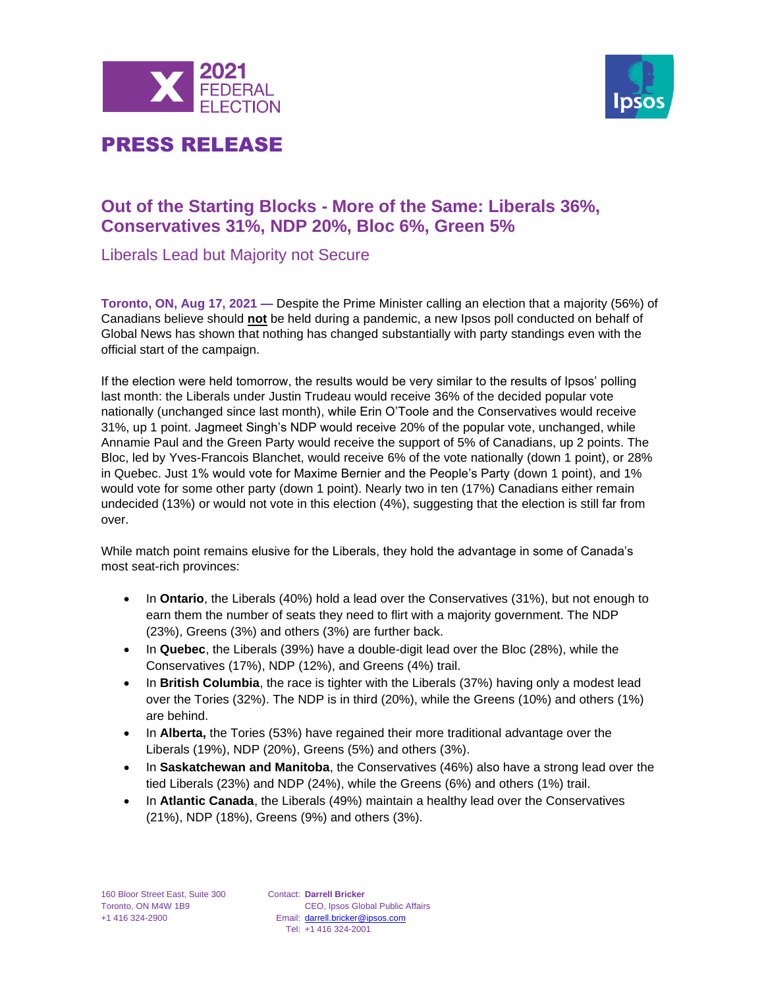



### **Out of the Starting Blocks - More of the Same: Liberals 36%, Conservatives 31%, NDP 20%, Bloc 6%, Green 5%**

Liberals Lead but Majority not Secure

**Toronto, ON, Aug 17, 2021 —** Despite the Prime Minister calling an election that a majority (56%) of Canadians believe should **not** be held during a pandemic, a new Ipsos poll conducted on behalf of Global News has shown that nothing has changed substantially with party standings even with the official start of the campaign.

If the election were held tomorrow, the results would be very similar to the results of Ipsos' polling last month: the Liberals under Justin Trudeau would receive 36% of the decided popular vote nationally (unchanged since last month), while Erin O'Toole and the Conservatives would receive 31%, up 1 point. Jagmeet Singh's NDP would receive 20% of the popular vote, unchanged, while Annamie Paul and the Green Party would receive the support of 5% of Canadians, up 2 points. The Bloc, led by Yves-Francois Blanchet, would receive 6% of the vote nationally (down 1 point), or 28% in Quebec. Just 1% would vote for Maxime Bernier and the People's Party (down 1 point), and 1% would vote for some other party (down 1 point). Nearly two in ten (17%) Canadians either remain undecided (13%) or would not vote in this election (4%), suggesting that the election is still far from over.

While match point remains elusive for the Liberals, they hold the advantage in some of Canada's most seat-rich provinces:

- In **Ontario**, the Liberals (40%) hold a lead over the Conservatives (31%), but not enough to earn them the number of seats they need to flirt with a majority government. The NDP (23%), Greens (3%) and others (3%) are further back.
- In **Quebec**, the Liberals (39%) have a double-digit lead over the Bloc (28%), while the Conservatives (17%), NDP (12%), and Greens (4%) trail.
- In **British Columbia**, the race is tighter with the Liberals (37%) having only a modest lead over the Tories (32%). The NDP is in third (20%), while the Greens (10%) and others (1%) are behind.
- In **Alberta,** the Tories (53%) have regained their more traditional advantage over the Liberals (19%), NDP (20%), Greens (5%) and others (3%).
- In **Saskatchewan and Manitoba**, the Conservatives (46%) also have a strong lead over the tied Liberals (23%) and NDP (24%), while the Greens (6%) and others (1%) trail.
- In **Atlantic Canada**, the Liberals (49%) maintain a healthy lead over the Conservatives (21%), NDP (18%), Greens (9%) and others (3%).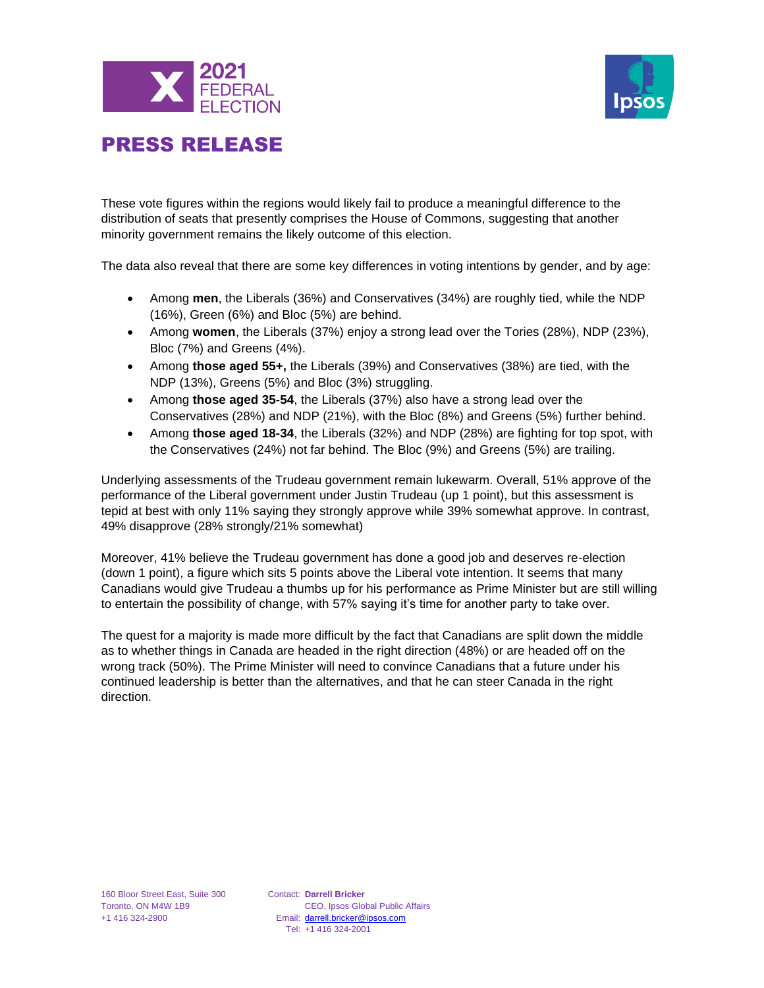



These vote figures within the regions would likely fail to produce a meaningful difference to the distribution of seats that presently comprises the House of Commons, suggesting that another minority government remains the likely outcome of this election.

The data also reveal that there are some key differences in voting intentions by gender, and by age:

- Among **men**, the Liberals (36%) and Conservatives (34%) are roughly tied, while the NDP (16%), Green (6%) and Bloc (5%) are behind.
- Among **women**, the Liberals (37%) enjoy a strong lead over the Tories (28%), NDP (23%), Bloc (7%) and Greens (4%).
- Among **those aged 55+,** the Liberals (39%) and Conservatives (38%) are tied, with the NDP (13%), Greens (5%) and Bloc (3%) struggling.
- Among **those aged 35-54**, the Liberals (37%) also have a strong lead over the Conservatives (28%) and NDP (21%), with the Bloc (8%) and Greens (5%) further behind.
- Among **those aged 18-34**, the Liberals (32%) and NDP (28%) are fighting for top spot, with the Conservatives (24%) not far behind. The Bloc (9%) and Greens (5%) are trailing.

Underlying assessments of the Trudeau government remain lukewarm. Overall, 51% approve of the performance of the Liberal government under Justin Trudeau (up 1 point), but this assessment is tepid at best with only 11% saying they strongly approve while 39% somewhat approve. In contrast, 49% disapprove (28% strongly/21% somewhat)

Moreover, 41% believe the Trudeau government has done a good job and deserves re-election (down 1 point), a figure which sits 5 points above the Liberal vote intention. It seems that many Canadians would give Trudeau a thumbs up for his performance as Prime Minister but are still willing to entertain the possibility of change, with 57% saying it's time for another party to take over.

The quest for a majority is made more difficult by the fact that Canadians are split down the middle as to whether things in Canada are headed in the right direction (48%) or are headed off on the wrong track (50%). The Prime Minister will need to convince Canadians that a future under his continued leadership is better than the alternatives, and that he can steer Canada in the right direction.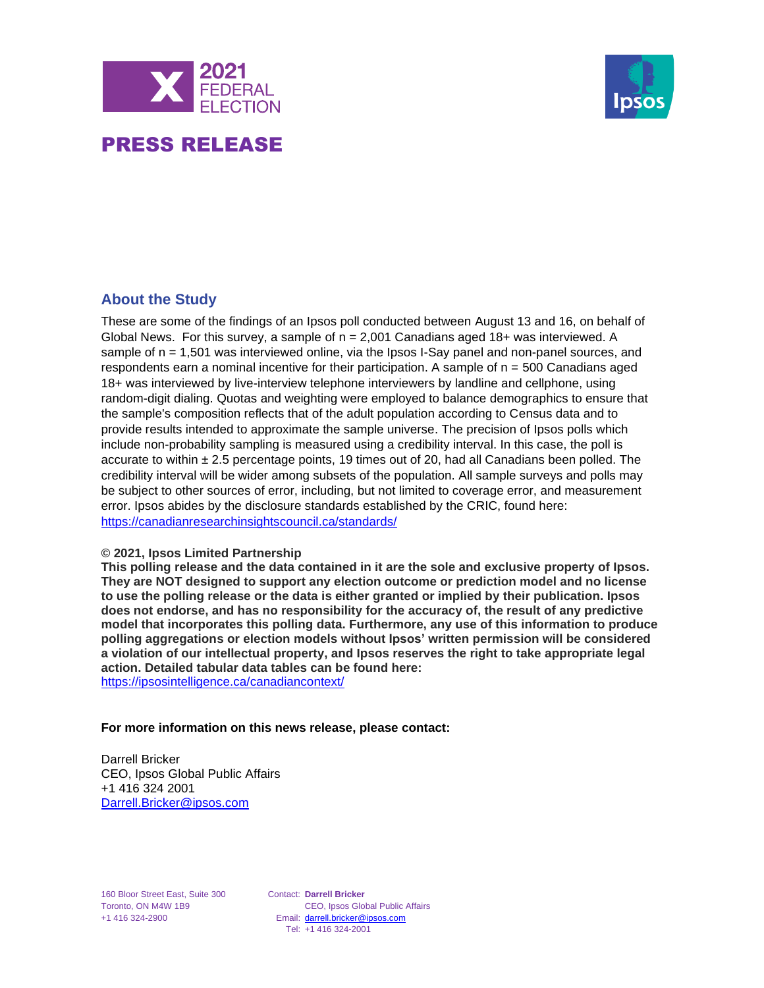



### **About the Study**

These are some of the findings of an Ipsos poll conducted between August 13 and 16, on behalf of Global News. For this survey, a sample of  $n = 2,001$  Canadians aged 18+ was interviewed. A sample of n = 1,501 was interviewed online, via the Ipsos I-Say panel and non-panel sources, and respondents earn a nominal incentive for their participation. A sample of n = 500 Canadians aged 18+ was interviewed by live-interview telephone interviewers by landline and cellphone, using random-digit dialing. Quotas and weighting were employed to balance demographics to ensure that the sample's composition reflects that of the adult population according to Census data and to provide results intended to approximate the sample universe. The precision of Ipsos polls which include non-probability sampling is measured using a credibility interval. In this case, the poll is accurate to within  $\pm 2.5$  percentage points, 19 times out of 20, had all Canadians been polled. The credibility interval will be wider among subsets of the population. All sample surveys and polls may be subject to other sources of error, including, but not limited to coverage error, and measurement error. Ipsos abides by the disclosure standards established by the CRIC, found here: <https://canadianresearchinsightscouncil.ca/standards/>

#### **© 2021, Ipsos Limited Partnership**

**This polling release and the data contained in it are the sole and exclusive property of Ipsos. They are NOT designed to support any election outcome or prediction model and no license to use the polling release or the data is either granted or implied by their publication. Ipsos does not endorse, and has no responsibility for the accuracy of, the result of any predictive model that incorporates this polling data. Furthermore, any use of this information to produce polling aggregations or election models without Ipsos' written permission will be considered a violation of our intellectual property, and Ipsos reserves the right to take appropriate legal action. Detailed tabular data tables can be found here:** <https://ipsosintelligence.ca/canadiancontext/>

#### **For more information on this news release, please contact:**

Darrell Bricker CEO, Ipsos Global Public Affairs +1 416 324 2001 [Darrell.Bricker@ipsos.com](mailto:Darrell.Bricker@ipsos.com)

160 Bloor Street East, Suite 300 Toronto, ON M4W 1B9 +1 416 324-2900